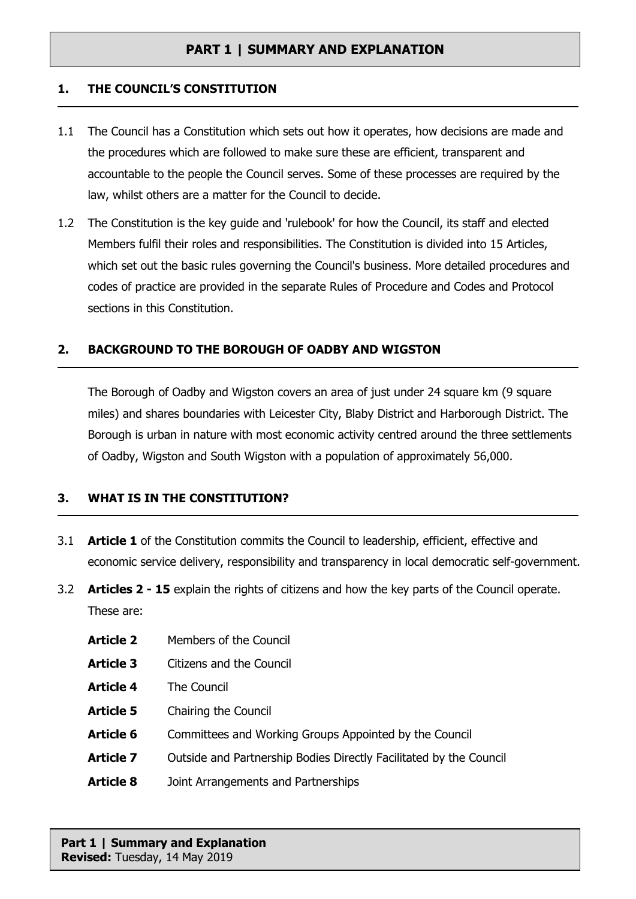### **1. THE COUNCIL'S CONSTITUTION**

- 1.1 The Council has a Constitution which sets out how it operates, how decisions are made and the procedures which are followed to make sure these are efficient, transparent and accountable to the people the Council serves. Some of these processes are required by the law, whilst others are a matter for the Council to decide.
- 1.2 The Constitution is the key guide and 'rulebook' for how the Council, its staff and elected Members fulfil their roles and responsibilities. The Constitution is divided into 15 Articles, which set out the basic rules governing the Council's business. More detailed procedures and codes of practice are provided in the separate Rules of Procedure and Codes and Protocol sections in this Constitution.

### **2. BACKGROUND TO THE BOROUGH OF OADBY AND WIGSTON**

The Borough of Oadby and Wigston covers an area of just under 24 square km (9 square miles) and shares boundaries with Leicester City, Blaby District and Harborough District. The Borough is urban in nature with most economic activity centred around the three settlements of Oadby, Wigston and South Wigston with a population of approximately 56,000.

### **3. WHAT IS IN THE CONSTITUTION?**

- 3.1 **Article 1** of the Constitution commits the Council to leadership, efficient, effective and economic service delivery, responsibility and transparency in local democratic self-government.
- 3.2 **Articles 2 - 15** explain the rights of citizens and how the key parts of the Council operate. These are:

| <b>Article 2</b> | Members of the Council                                             |
|------------------|--------------------------------------------------------------------|
| <b>Article 3</b> | Citizens and the Council                                           |
| <b>Article 4</b> | The Council                                                        |
| Article 5        | Chairing the Council                                               |
| <b>Article 6</b> | Committees and Working Groups Appointed by the Council             |
| Article 7        | Outside and Partnership Bodies Directly Facilitated by the Council |
| <b>Article 8</b> | Joint Arrangements and Partnerships                                |

**Part 1 | Summary and Explanation Revised:** Tuesday, 14 May 2019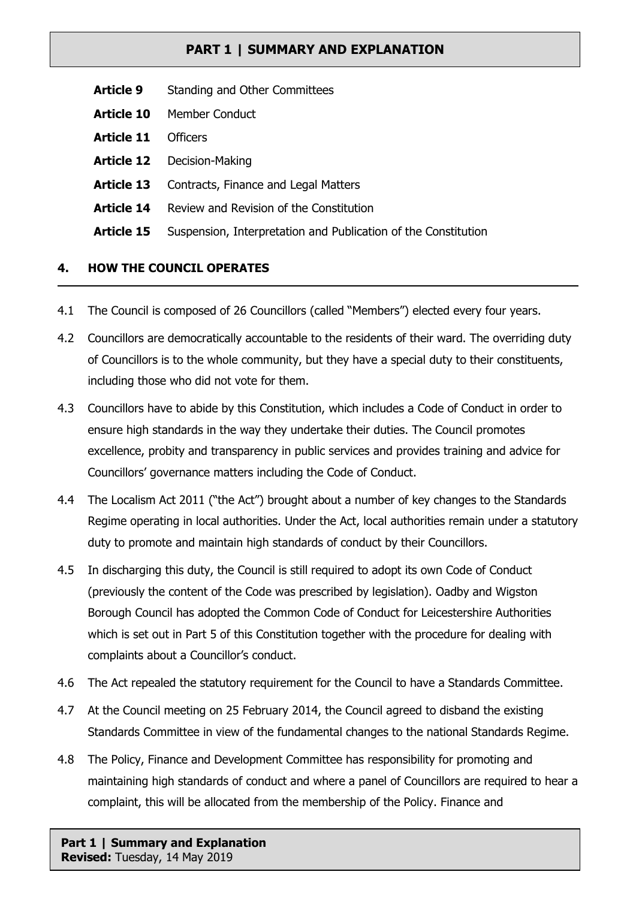- **Article 9** Standing and Other Committees
- **Article 10** Member Conduct
- **Article 11** Officers
- **Article 12** Decision-Making
- Article 13 Contracts, Finance and Legal Matters
- **Article 14** Review and Revision of the Constitution
- **Article 15** Suspension, Interpretation and Publication of the Constitution

## **4. HOW THE COUNCIL OPERATES**

- 4.1 The Council is composed of 26 Councillors (called "Members") elected every four years.
- 4.2 Councillors are democratically accountable to the residents of their ward. The overriding duty of Councillors is to the whole community, but they have a special duty to their constituents, including those who did not vote for them.
- 4.3 Councillors have to abide by this Constitution, which includes a Code of Conduct in order to ensure high standards in the way they undertake their duties. The Council promotes excellence, probity and transparency in public services and provides training and advice for Councillors' governance matters including the Code of Conduct.
- 4.4 The Localism Act 2011 ("the Act") brought about a number of key changes to the Standards Regime operating in local authorities. Under the Act, local authorities remain under a statutory duty to promote and maintain high standards of conduct by their Councillors.
- 4.5 In discharging this duty, the Council is still required to adopt its own Code of Conduct (previously the content of the Code was prescribed by legislation). Oadby and Wigston Borough Council has adopted the Common Code of Conduct for Leicestershire Authorities which is set out in Part 5 of this Constitution together with the procedure for dealing with complaints about a Councillor's conduct.
- 4.6 The Act repealed the statutory requirement for the Council to have a Standards Committee.
- 4.7 At the Council meeting on 25 February 2014, the Council agreed to disband the existing Standards Committee in view of the fundamental changes to the national Standards Regime.
- 4.8 The Policy, Finance and Development Committee has responsibility for promoting and maintaining high standards of conduct and where a panel of Councillors are required to hear a complaint, this will be allocated from the membership of the Policy. Finance and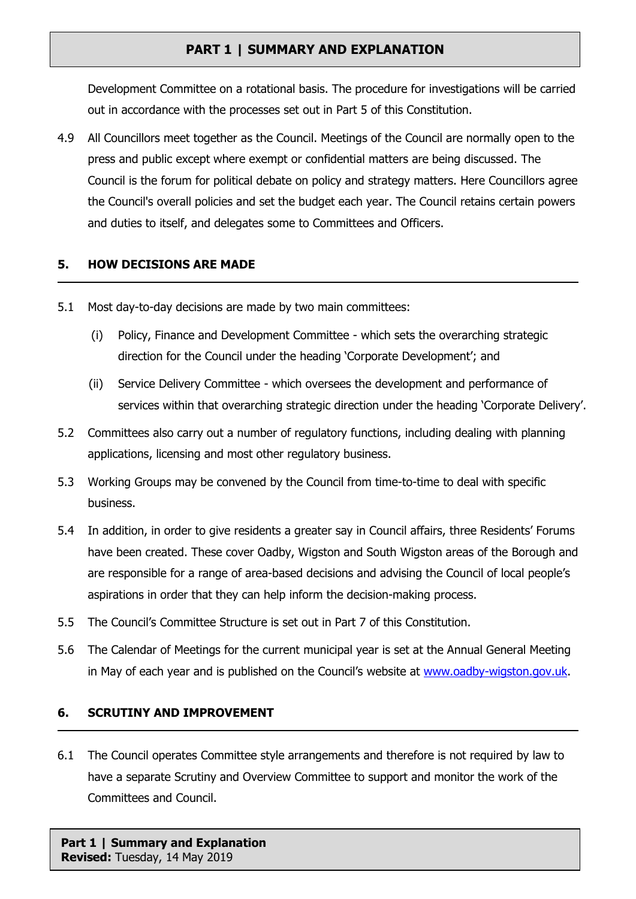Development Committee on a rotational basis. The procedure for investigations will be carried out in accordance with the processes set out in Part 5 of this Constitution.

4.9 All Councillors meet together as the Council. Meetings of the Council are normally open to the press and public except where exempt or confidential matters are being discussed. The Council is the forum for political debate on policy and strategy matters. Here Councillors agree the Council's overall policies and set the budget each year. The Council retains certain powers and duties to itself, and delegates some to Committees and Officers.

### **5. HOW DECISIONS ARE MADE**

- 5.1 Most day-to-day decisions are made by two main committees:
	- (i) Policy, Finance and Development Committee which sets the overarching strategic direction for the Council under the heading 'Corporate Development'; and
	- (ii) Service Delivery Committee which oversees the development and performance of services within that overarching strategic direction under the heading 'Corporate Delivery'.
- 5.2 Committees also carry out a number of regulatory functions, including dealing with planning applications, licensing and most other regulatory business.
- 5.3 Working Groups may be convened by the Council from time-to-time to deal with specific business.
- 5.4 In addition, in order to give residents a greater say in Council affairs, three Residents' Forums have been created. These cover Oadby, Wigston and South Wigston areas of the Borough and are responsible for a range of area-based decisions and advising the Council of local people's aspirations in order that they can help inform the decision-making process.
- 5.5 The Council's Committee Structure is set out in Part 7 of this Constitution.
- 5.6 The Calendar of Meetings for the current municipal year is set at the Annual General Meeting in May of each year and is published on the Council's website at [www.oadby-wigston.gov.uk.](http://www.oadby-wigston.gov.uk/)

## **6. SCRUTINY AND IMPROVEMENT**

6.1 The Council operates Committee style arrangements and therefore is not required by law to have a separate Scrutiny and Overview Committee to support and monitor the work of the Committees and Council.

**Part 1 | Summary and Explanation Revised:** Tuesday, 14 May 2019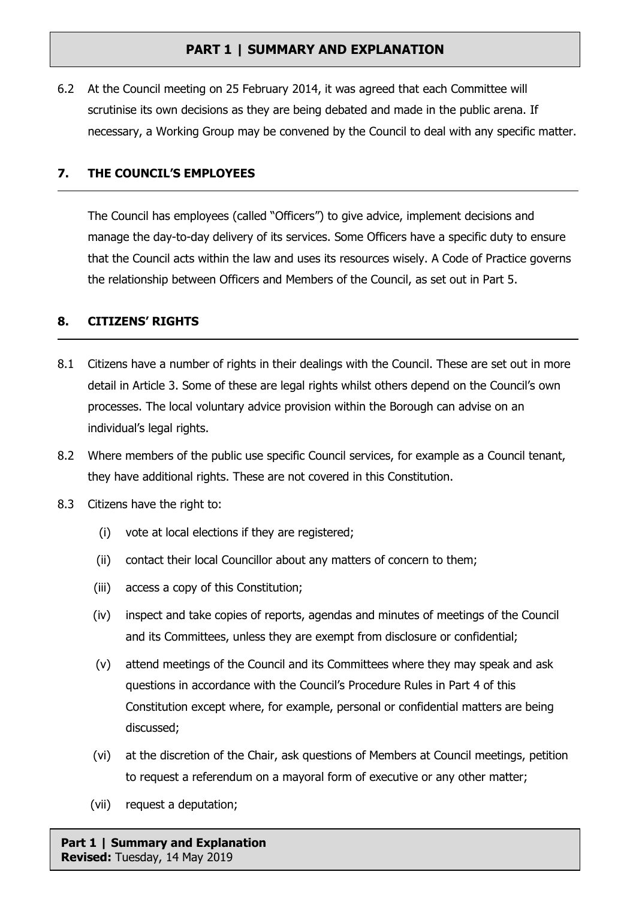6.2 At the Council meeting on 25 February 2014, it was agreed that each Committee will scrutinise its own decisions as they are being debated and made in the public arena. If necessary, a Working Group may be convened by the Council to deal with any specific matter.

### **7. THE COUNCIL'S EMPLOYEES**

The Council has employees (called "Officers") to give advice, implement decisions and manage the day-to-day delivery of its services. Some Officers have a specific duty to ensure that the Council acts within the law and uses its resources wisely. A Code of Practice governs the relationship between Officers and Members of the Council, as set out in Part 5.

### **8. CITIZENS' RIGHTS**

- 8.1 Citizens have a number of rights in their dealings with the Council. These are set out in more detail in Article 3. Some of these are legal rights whilst others depend on the Council's own processes. The local voluntary advice provision within the Borough can advise on an individual's legal rights.
- 8.2 Where members of the public use specific Council services, for example as a Council tenant, they have additional rights. These are not covered in this Constitution.
- 8.3 Citizens have the right to:
	- (i) vote at local elections if they are registered;
	- (ii) contact their local Councillor about any matters of concern to them;
	- (iii) access a copy of this Constitution;
	- (iv) inspect and take copies of reports, agendas and minutes of meetings of the Council and its Committees, unless they are exempt from disclosure or confidential;
	- (v) attend meetings of the Council and its Committees where they may speak and ask questions in accordance with the Council's Procedure Rules in Part 4 of this Constitution except where, for example, personal or confidential matters are being discussed;
	- (vi) at the discretion of the Chair, ask questions of Members at Council meetings, petition to request a referendum on a mayoral form of executive or any other matter;
	- (vii) request a deputation;